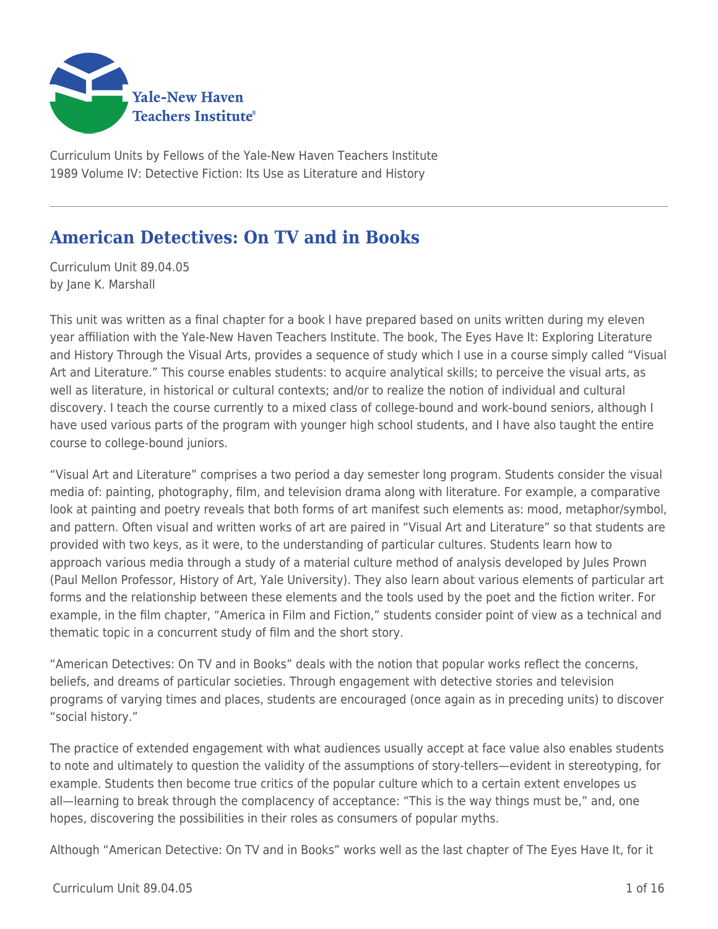

Curriculum Units by Fellows of the Yale-New Haven Teachers Institute 1989 Volume IV: Detective Fiction: Its Use as Literature and History

# **American Detectives: On TV and in Books**

Curriculum Unit 89.04.05 by Jane K. Marshall

This unit was written as a final chapter for a book I have prepared based on units written during my eleven year affiliation with the Yale-New Haven Teachers Institute. The book, The Eyes Have It: Exploring Literature and History Through the Visual Arts, provides a sequence of study which I use in a course simply called "Visual Art and Literature." This course enables students: to acquire analytical skills; to perceive the visual arts, as well as literature, in historical or cultural contexts; and/or to realize the notion of individual and cultural discovery. I teach the course currently to a mixed class of college-bound and work-bound seniors, although I have used various parts of the program with younger high school students, and I have also taught the entire course to college-bound juniors.

"Visual Art and Literature" comprises a two period a day semester long program. Students consider the visual media of: painting, photography, film, and television drama along with literature. For example, a comparative look at painting and poetry reveals that both forms of art manifest such elements as: mood, metaphor/symbol, and pattern. Often visual and written works of art are paired in "Visual Art and Literature" so that students are provided with two keys, as it were, to the understanding of particular cultures. Students learn how to approach various media through a study of a material culture method of analysis developed by Jules Prown (Paul Mellon Professor, History of Art, Yale University). They also learn about various elements of particular art forms and the relationship between these elements and the tools used by the poet and the fiction writer. For example, in the film chapter, "America in Film and Fiction," students consider point of view as a technical and thematic topic in a concurrent study of film and the short story.

"American Detectives: On TV and in Books" deals with the notion that popular works reflect the concerns, beliefs, and dreams of particular societies. Through engagement with detective stories and television programs of varying times and places, students are encouraged (once again as in preceding units) to discover "social history."

The practice of extended engagement with what audiences usually accept at face value also enables students to note and ultimately to question the validity of the assumptions of story-tellers—evident in stereotyping, for example. Students then become true critics of the popular culture which to a certain extent envelopes us all—learning to break through the complacency of acceptance: "This is the way things must be," and, one hopes, discovering the possibilities in their roles as consumers of popular myths.

Although "American Detective: On TV and in Books" works well as the last chapter of The Eyes Have It, for it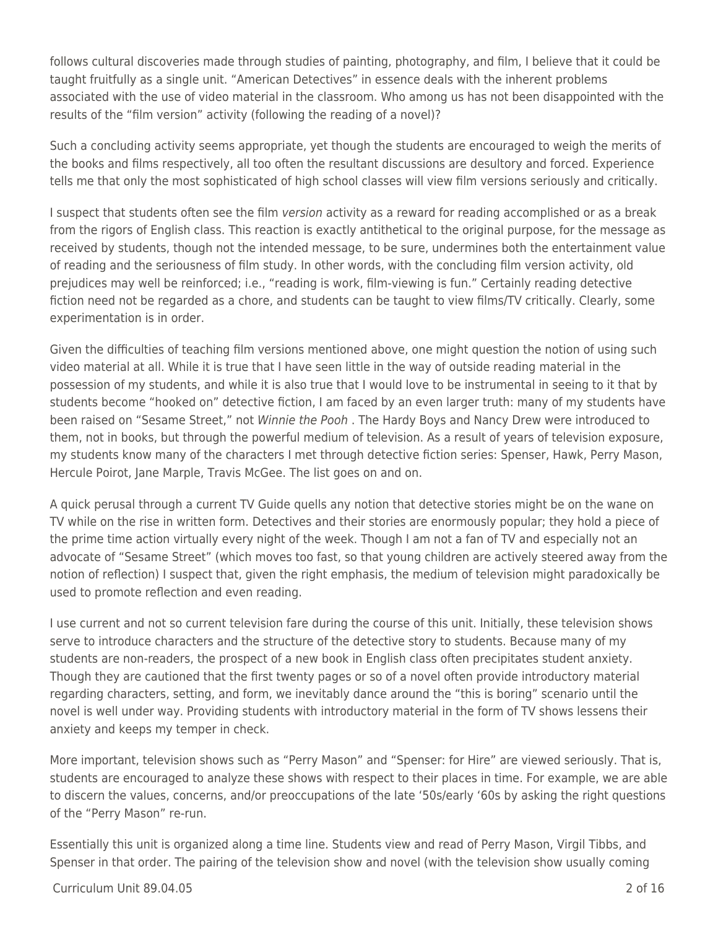follows cultural discoveries made through studies of painting, photography, and film, I believe that it could be taught fruitfully as a single unit. "American Detectives" in essence deals with the inherent problems associated with the use of video material in the classroom. Who among us has not been disappointed with the results of the "film version" activity (following the reading of a novel)?

Such a concluding activity seems appropriate, yet though the students are encouraged to weigh the merits of the books and films respectively, all too often the resultant discussions are desultory and forced. Experience tells me that only the most sophisticated of high school classes will view film versions seriously and critically.

I suspect that students often see the film version activity as a reward for reading accomplished or as a break from the rigors of English class. This reaction is exactly antithetical to the original purpose, for the message as received by students, though not the intended message, to be sure, undermines both the entertainment value of reading and the seriousness of film study. In other words, with the concluding film version activity, old prejudices may well be reinforced; i.e., "reading is work, film-viewing is fun." Certainly reading detective fiction need not be regarded as a chore, and students can be taught to view films/TV critically. Clearly, some experimentation is in order.

Given the difficulties of teaching film versions mentioned above, one might question the notion of using such video material at all. While it is true that I have seen little in the way of outside reading material in the possession of my students, and while it is also true that I would love to be instrumental in seeing to it that by students become "hooked on" detective fiction, I am faced by an even larger truth: many of my students have been raised on "Sesame Street," not Winnie the Pooh . The Hardy Boys and Nancy Drew were introduced to them, not in books, but through the powerful medium of television. As a result of years of television exposure, my students know many of the characters I met through detective fiction series: Spenser, Hawk, Perry Mason, Hercule Poirot, Jane Marple, Travis McGee. The list goes on and on.

A quick perusal through a current TV Guide quells any notion that detective stories might be on the wane on TV while on the rise in written form. Detectives and their stories are enormously popular; they hold a piece of the prime time action virtually every night of the week. Though I am not a fan of TV and especially not an advocate of "Sesame Street" (which moves too fast, so that young children are actively steered away from the notion of reflection) I suspect that, given the right emphasis, the medium of television might paradoxically be used to promote reflection and even reading.

I use current and not so current television fare during the course of this unit. Initially, these television shows serve to introduce characters and the structure of the detective story to students. Because many of my students are non-readers, the prospect of a new book in English class often precipitates student anxiety. Though they are cautioned that the first twenty pages or so of a novel often provide introductory material regarding characters, setting, and form, we inevitably dance around the "this is boring" scenario until the novel is well under way. Providing students with introductory material in the form of TV shows lessens their anxiety and keeps my temper in check.

More important, television shows such as "Perry Mason" and "Spenser: for Hire" are viewed seriously. That is, students are encouraged to analyze these shows with respect to their places in time. For example, we are able to discern the values, concerns, and/or preoccupations of the late '50s/early '60s by asking the right questions of the "Perry Mason" re-run.

Essentially this unit is organized along a time line. Students view and read of Perry Mason, Virgil Tibbs, and Spenser in that order. The pairing of the television show and novel (with the television show usually coming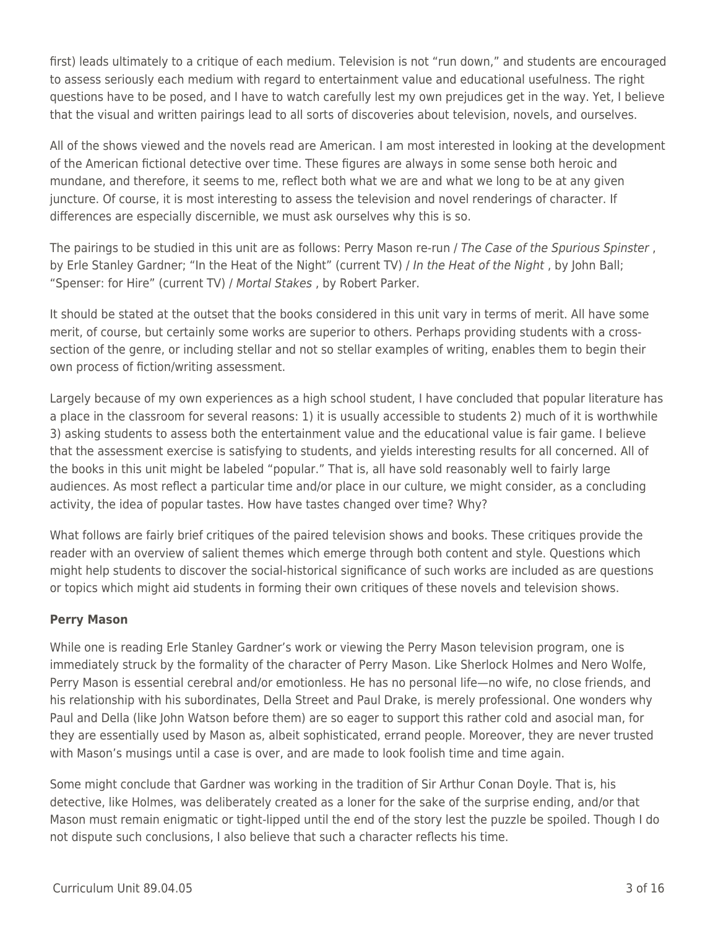first) leads ultimately to a critique of each medium. Television is not "run down," and students are encouraged to assess seriously each medium with regard to entertainment value and educational usefulness. The right questions have to be posed, and I have to watch carefully lest my own prejudices get in the way. Yet, I believe that the visual and written pairings lead to all sorts of discoveries about television, novels, and ourselves.

All of the shows viewed and the novels read are American. I am most interested in looking at the development of the American fictional detective over time. These figures are always in some sense both heroic and mundane, and therefore, it seems to me, reflect both what we are and what we long to be at any given juncture. Of course, it is most interesting to assess the television and novel renderings of character. If differences are especially discernible, we must ask ourselves why this is so.

The pairings to be studied in this unit are as follows: Perry Mason re-run / The Case of the Spurious Spinster, by Erle Stanley Gardner; "In the Heat of the Night" (current TV) / In the Heat of the Night, by John Ball; "Spenser: for Hire" (current TV) / Mortal Stakes , by Robert Parker.

It should be stated at the outset that the books considered in this unit vary in terms of merit. All have some merit, of course, but certainly some works are superior to others. Perhaps providing students with a crosssection of the genre, or including stellar and not so stellar examples of writing, enables them to begin their own process of fiction/writing assessment.

Largely because of my own experiences as a high school student, I have concluded that popular literature has a place in the classroom for several reasons: 1) it is usually accessible to students 2) much of it is worthwhile 3) asking students to assess both the entertainment value and the educational value is fair game. I believe that the assessment exercise is satisfying to students, and yields interesting results for all concerned. All of the books in this unit might be labeled "popular." That is, all have sold reasonably well to fairly large audiences. As most reflect a particular time and/or place in our culture, we might consider, as a concluding activity, the idea of popular tastes. How have tastes changed over time? Why?

What follows are fairly brief critiques of the paired television shows and books. These critiques provide the reader with an overview of salient themes which emerge through both content and style. Questions which might help students to discover the social-historical significance of such works are included as are questions or topics which might aid students in forming their own critiques of these novels and television shows.

#### **Perry Mason**

While one is reading Erle Stanley Gardner's work or viewing the Perry Mason television program, one is immediately struck by the formality of the character of Perry Mason. Like Sherlock Holmes and Nero Wolfe, Perry Mason is essential cerebral and/or emotionless. He has no personal life—no wife, no close friends, and his relationship with his subordinates, Della Street and Paul Drake, is merely professional. One wonders why Paul and Della (like John Watson before them) are so eager to support this rather cold and asocial man, for they are essentially used by Mason as, albeit sophisticated, errand people. Moreover, they are never trusted with Mason's musings until a case is over, and are made to look foolish time and time again.

Some might conclude that Gardner was working in the tradition of Sir Arthur Conan Doyle. That is, his detective, like Holmes, was deliberately created as a loner for the sake of the surprise ending, and/or that Mason must remain enigmatic or tight-lipped until the end of the story lest the puzzle be spoiled. Though I do not dispute such conclusions, I also believe that such a character reflects his time.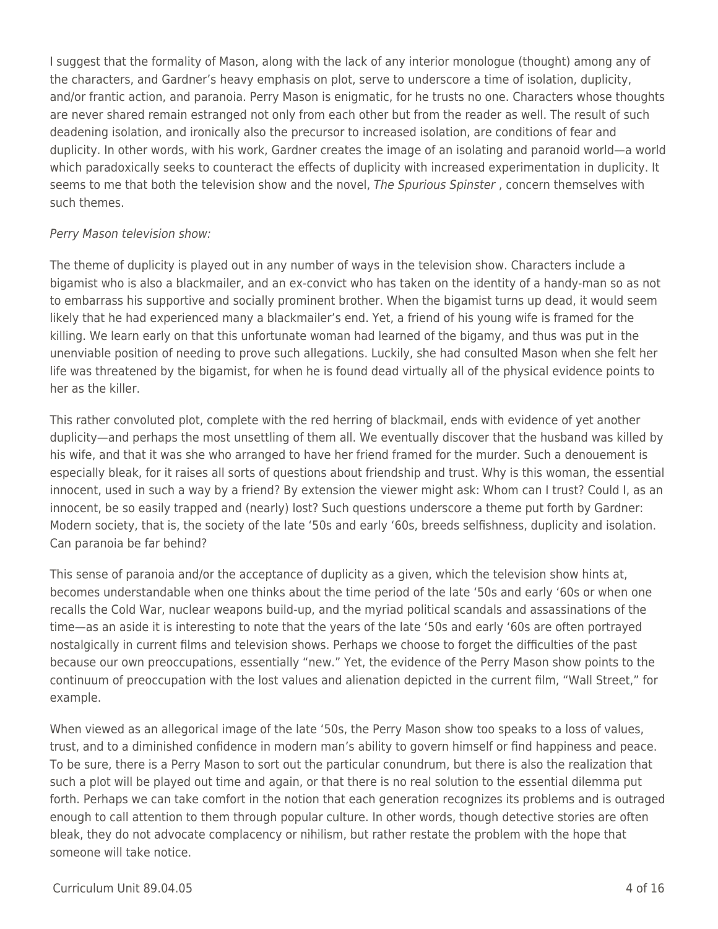I suggest that the formality of Mason, along with the lack of any interior monologue (thought) among any of the characters, and Gardner's heavy emphasis on plot, serve to underscore a time of isolation, duplicity, and/or frantic action, and paranoia. Perry Mason is enigmatic, for he trusts no one. Characters whose thoughts are never shared remain estranged not only from each other but from the reader as well. The result of such deadening isolation, and ironically also the precursor to increased isolation, are conditions of fear and duplicity. In other words, with his work, Gardner creates the image of an isolating and paranoid world—a world which paradoxically seeks to counteract the effects of duplicity with increased experimentation in duplicity. It seems to me that both the television show and the novel, The Spurious Spinster, concern themselves with such themes.

#### Perry Mason television show:

The theme of duplicity is played out in any number of ways in the television show. Characters include a bigamist who is also a blackmailer, and an ex-convict who has taken on the identity of a handy-man so as not to embarrass his supportive and socially prominent brother. When the bigamist turns up dead, it would seem likely that he had experienced many a blackmailer's end. Yet, a friend of his young wife is framed for the killing. We learn early on that this unfortunate woman had learned of the bigamy, and thus was put in the unenviable position of needing to prove such allegations. Luckily, she had consulted Mason when she felt her life was threatened by the bigamist, for when he is found dead virtually all of the physical evidence points to her as the killer.

This rather convoluted plot, complete with the red herring of blackmail, ends with evidence of yet another duplicity—and perhaps the most unsettling of them all. We eventually discover that the husband was killed by his wife, and that it was she who arranged to have her friend framed for the murder. Such a denouement is especially bleak, for it raises all sorts of questions about friendship and trust. Why is this woman, the essential innocent, used in such a way by a friend? By extension the viewer might ask: Whom can I trust? Could I, as an innocent, be so easily trapped and (nearly) lost? Such questions underscore a theme put forth by Gardner: Modern society, that is, the society of the late '50s and early '60s, breeds selfishness, duplicity and isolation. Can paranoia be far behind?

This sense of paranoia and/or the acceptance of duplicity as a given, which the television show hints at, becomes understandable when one thinks about the time period of the late '50s and early '60s or when one recalls the Cold War, nuclear weapons build-up, and the myriad political scandals and assassinations of the time—as an aside it is interesting to note that the years of the late '50s and early '60s are often portrayed nostalgically in current films and television shows. Perhaps we choose to forget the difficulties of the past because our own preoccupations, essentially "new." Yet, the evidence of the Perry Mason show points to the continuum of preoccupation with the lost values and alienation depicted in the current film, "Wall Street," for example.

When viewed as an allegorical image of the late '50s, the Perry Mason show too speaks to a loss of values, trust, and to a diminished confidence in modern man's ability to govern himself or find happiness and peace. To be sure, there is a Perry Mason to sort out the particular conundrum, but there is also the realization that such a plot will be played out time and again, or that there is no real solution to the essential dilemma put forth. Perhaps we can take comfort in the notion that each generation recognizes its problems and is outraged enough to call attention to them through popular culture. In other words, though detective stories are often bleak, they do not advocate complacency or nihilism, but rather restate the problem with the hope that someone will take notice.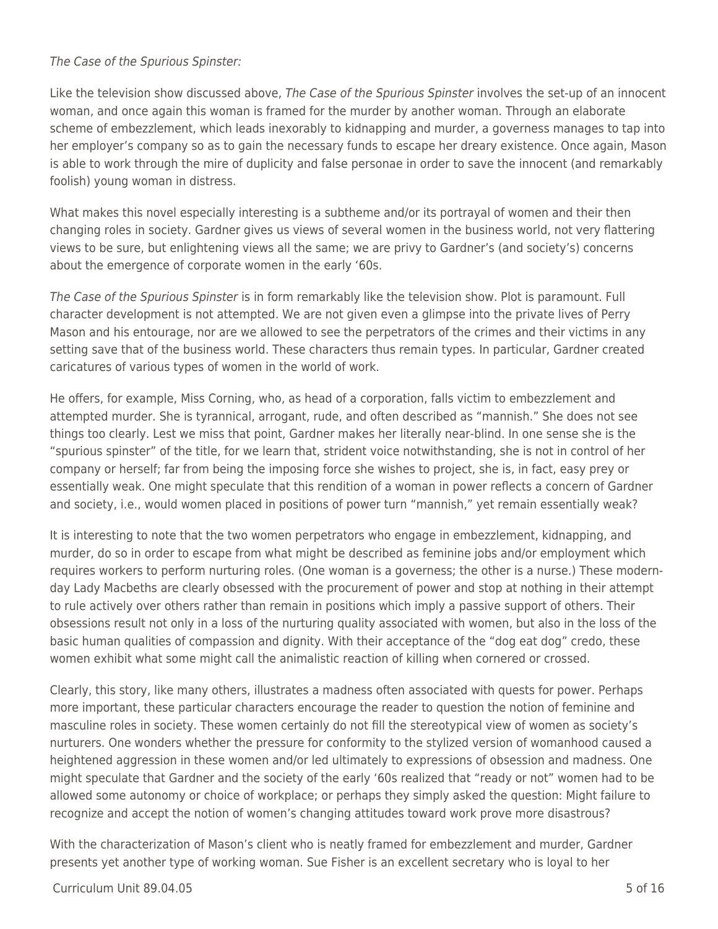#### The Case of the Spurious Spinster:

Like the television show discussed above, The Case of the Spurious Spinster involves the set-up of an innocent woman, and once again this woman is framed for the murder by another woman. Through an elaborate scheme of embezzlement, which leads inexorably to kidnapping and murder, a governess manages to tap into her employer's company so as to gain the necessary funds to escape her dreary existence. Once again, Mason is able to work through the mire of duplicity and false personae in order to save the innocent (and remarkably foolish) young woman in distress.

What makes this novel especially interesting is a subtheme and/or its portrayal of women and their then changing roles in society. Gardner gives us views of several women in the business world, not very flattering views to be sure, but enlightening views all the same; we are privy to Gardner's (and society's) concerns about the emergence of corporate women in the early '60s.

The Case of the Spurious Spinster is in form remarkably like the television show. Plot is paramount. Full character development is not attempted. We are not given even a glimpse into the private lives of Perry Mason and his entourage, nor are we allowed to see the perpetrators of the crimes and their victims in any setting save that of the business world. These characters thus remain types. In particular, Gardner created caricatures of various types of women in the world of work.

He offers, for example, Miss Corning, who, as head of a corporation, falls victim to embezzlement and attempted murder. She is tyrannical, arrogant, rude, and often described as "mannish." She does not see things too clearly. Lest we miss that point, Gardner makes her literally near-blind. In one sense she is the "spurious spinster" of the title, for we learn that, strident voice notwithstanding, she is not in control of her company or herself; far from being the imposing force she wishes to project, she is, in fact, easy prey or essentially weak. One might speculate that this rendition of a woman in power reflects a concern of Gardner and society, i.e., would women placed in positions of power turn "mannish," yet remain essentially weak?

It is interesting to note that the two women perpetrators who engage in embezzlement, kidnapping, and murder, do so in order to escape from what might be described as feminine jobs and/or employment which requires workers to perform nurturing roles. (One woman is a governess; the other is a nurse.) These modernday Lady Macbeths are clearly obsessed with the procurement of power and stop at nothing in their attempt to rule actively over others rather than remain in positions which imply a passive support of others. Their obsessions result not only in a loss of the nurturing quality associated with women, but also in the loss of the basic human qualities of compassion and dignity. With their acceptance of the "dog eat dog" credo, these women exhibit what some might call the animalistic reaction of killing when cornered or crossed.

Clearly, this story, like many others, illustrates a madness often associated with quests for power. Perhaps more important, these particular characters encourage the reader to question the notion of feminine and masculine roles in society. These women certainly do not fill the stereotypical view of women as society's nurturers. One wonders whether the pressure for conformity to the stylized version of womanhood caused a heightened aggression in these women and/or led ultimately to expressions of obsession and madness. One might speculate that Gardner and the society of the early '60s realized that "ready or not" women had to be allowed some autonomy or choice of workplace; or perhaps they simply asked the question: Might failure to recognize and accept the notion of women's changing attitudes toward work prove more disastrous?

With the characterization of Mason's client who is neatly framed for embezzlement and murder, Gardner presents yet another type of working woman. Sue Fisher is an excellent secretary who is loyal to her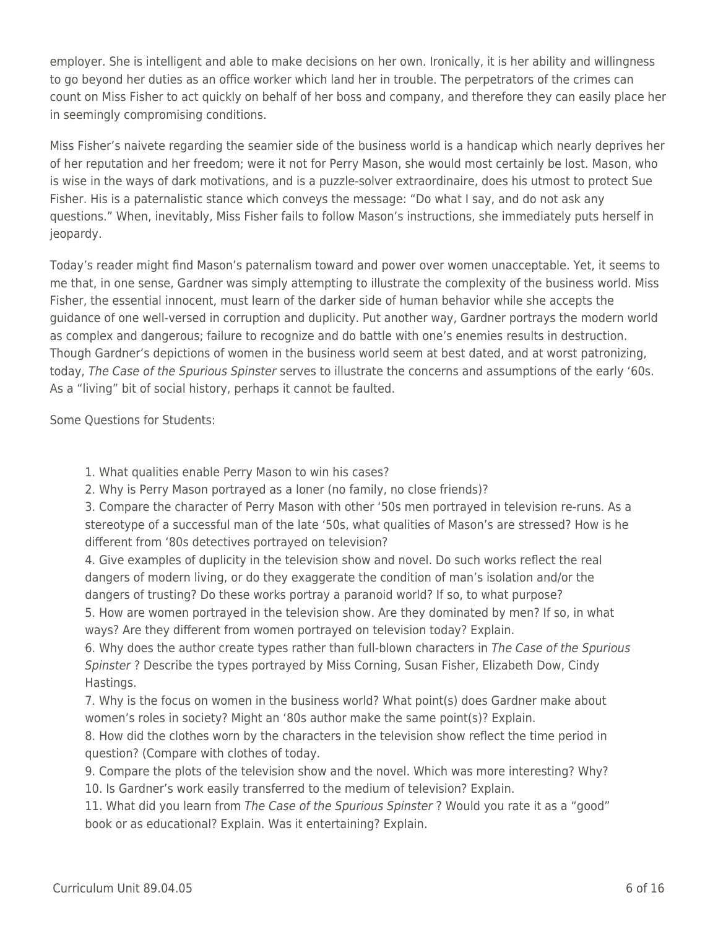employer. She is intelligent and able to make decisions on her own. Ironically, it is her ability and willingness to go beyond her duties as an office worker which land her in trouble. The perpetrators of the crimes can count on Miss Fisher to act quickly on behalf of her boss and company, and therefore they can easily place her in seemingly compromising conditions.

Miss Fisher's naivete regarding the seamier side of the business world is a handicap which nearly deprives her of her reputation and her freedom; were it not for Perry Mason, she would most certainly be lost. Mason, who is wise in the ways of dark motivations, and is a puzzle-solver extraordinaire, does his utmost to protect Sue Fisher. His is a paternalistic stance which conveys the message: "Do what I say, and do not ask any questions." When, inevitably, Miss Fisher fails to follow Mason's instructions, she immediately puts herself in jeopardy.

Today's reader might find Mason's paternalism toward and power over women unacceptable. Yet, it seems to me that, in one sense, Gardner was simply attempting to illustrate the complexity of the business world. Miss Fisher, the essential innocent, must learn of the darker side of human behavior while she accepts the guidance of one well-versed in corruption and duplicity. Put another way, Gardner portrays the modern world as complex and dangerous; failure to recognize and do battle with one's enemies results in destruction. Though Gardner's depictions of women in the business world seem at best dated, and at worst patronizing, today, The Case of the Spurious Spinster serves to illustrate the concerns and assumptions of the early '60s. As a "living" bit of social history, perhaps it cannot be faulted.

Some Questions for Students:

1. What qualities enable Perry Mason to win his cases?

2. Why is Perry Mason portrayed as a loner (no family, no close friends)?

3. Compare the character of Perry Mason with other '50s men portrayed in television re-runs. As a stereotype of a successful man of the late '50s, what qualities of Mason's are stressed? How is he different from '80s detectives portrayed on television?

4. Give examples of duplicity in the television show and novel. Do such works reflect the real dangers of modern living, or do they exaggerate the condition of man's isolation and/or the dangers of trusting? Do these works portray a paranoid world? If so, to what purpose?

5. How are women portrayed in the television show. Are they dominated by men? If so, in what ways? Are they different from women portrayed on television today? Explain.

6. Why does the author create types rather than full-blown characters in The Case of the Spurious Spinster ? Describe the types portrayed by Miss Corning, Susan Fisher, Elizabeth Dow, Cindy Hastings.

7. Why is the focus on women in the business world? What point(s) does Gardner make about women's roles in society? Might an '80s author make the same point(s)? Explain.

8. How did the clothes worn by the characters in the television show reflect the time period in question? (Compare with clothes of today.

9. Compare the plots of the television show and the novel. Which was more interesting? Why? 10. Is Gardner's work easily transferred to the medium of television? Explain.

11. What did you learn from The Case of the Spurious Spinster ? Would you rate it as a "good" book or as educational? Explain. Was it entertaining? Explain.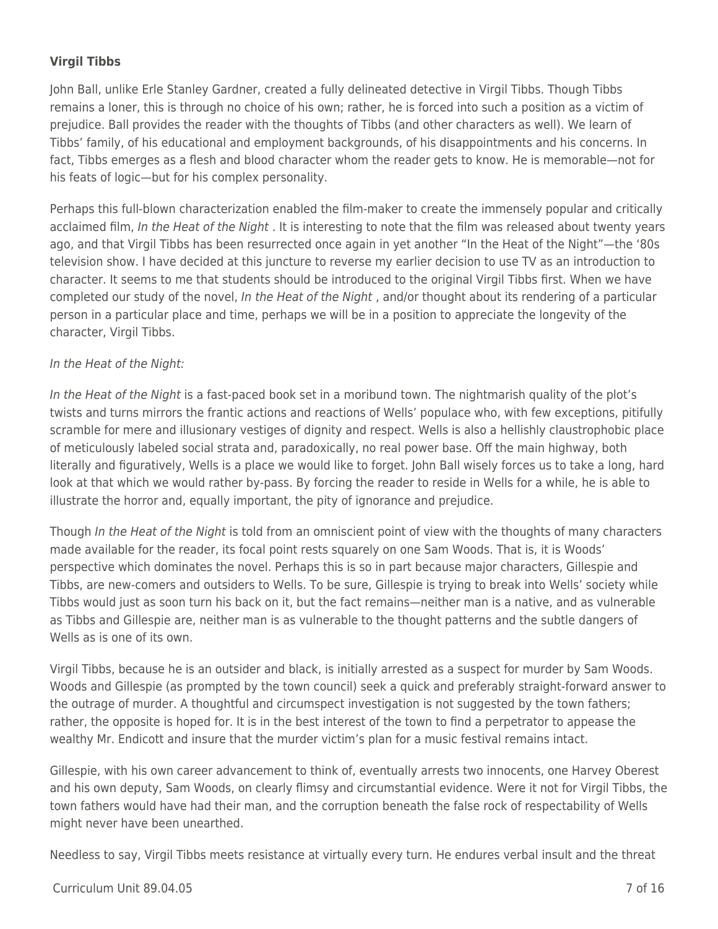### **Virgil Tibbs**

John Ball, unlike Erle Stanley Gardner, created a fully delineated detective in Virgil Tibbs. Though Tibbs remains a loner, this is through no choice of his own; rather, he is forced into such a position as a victim of prejudice. Ball provides the reader with the thoughts of Tibbs (and other characters as well). We learn of Tibbs' family, of his educational and employment backgrounds, of his disappointments and his concerns. In fact, Tibbs emerges as a flesh and blood character whom the reader gets to know. He is memorable—not for his feats of logic—but for his complex personality.

Perhaps this full-blown characterization enabled the film-maker to create the immensely popular and critically acclaimed film, In the Heat of the Night. It is interesting to note that the film was released about twenty years ago, and that Virgil Tibbs has been resurrected once again in yet another "In the Heat of the Night"—the '80s television show. I have decided at this juncture to reverse my earlier decision to use TV as an introduction to character. It seems to me that students should be introduced to the original Virgil Tibbs first. When we have completed our study of the novel, In the Heat of the Night , and/or thought about its rendering of a particular person in a particular place and time, perhaps we will be in a position to appreciate the longevity of the character, Virgil Tibbs.

#### In the Heat of the Night:

In the Heat of the Night is a fast-paced book set in a moribund town. The nightmarish quality of the plot's twists and turns mirrors the frantic actions and reactions of Wells' populace who, with few exceptions, pitifully scramble for mere and illusionary vestiges of dignity and respect. Wells is also a hellishly claustrophobic place of meticulously labeled social strata and, paradoxically, no real power base. Off the main highway, both literally and figuratively, Wells is a place we would like to forget. John Ball wisely forces us to take a long, hard look at that which we would rather by-pass. By forcing the reader to reside in Wells for a while, he is able to illustrate the horror and, equally important, the pity of ignorance and prejudice.

Though In the Heat of the Night is told from an omniscient point of view with the thoughts of many characters made available for the reader, its focal point rests squarely on one Sam Woods. That is, it is Woods' perspective which dominates the novel. Perhaps this is so in part because major characters, Gillespie and Tibbs, are new-comers and outsiders to Wells. To be sure, Gillespie is trying to break into Wells' society while Tibbs would just as soon turn his back on it, but the fact remains—neither man is a native, and as vulnerable as Tibbs and Gillespie are, neither man is as vulnerable to the thought patterns and the subtle dangers of Wells as is one of its own.

Virgil Tibbs, because he is an outsider and black, is initially arrested as a suspect for murder by Sam Woods. Woods and Gillespie (as prompted by the town council) seek a quick and preferably straight-forward answer to the outrage of murder. A thoughtful and circumspect investigation is not suggested by the town fathers; rather, the opposite is hoped for. It is in the best interest of the town to find a perpetrator to appease the wealthy Mr. Endicott and insure that the murder victim's plan for a music festival remains intact.

Gillespie, with his own career advancement to think of, eventually arrests two innocents, one Harvey Oberest and his own deputy, Sam Woods, on clearly flimsy and circumstantial evidence. Were it not for Virgil Tibbs, the town fathers would have had their man, and the corruption beneath the false rock of respectability of Wells might never have been unearthed.

Needless to say, Virgil Tibbs meets resistance at virtually every turn. He endures verbal insult and the threat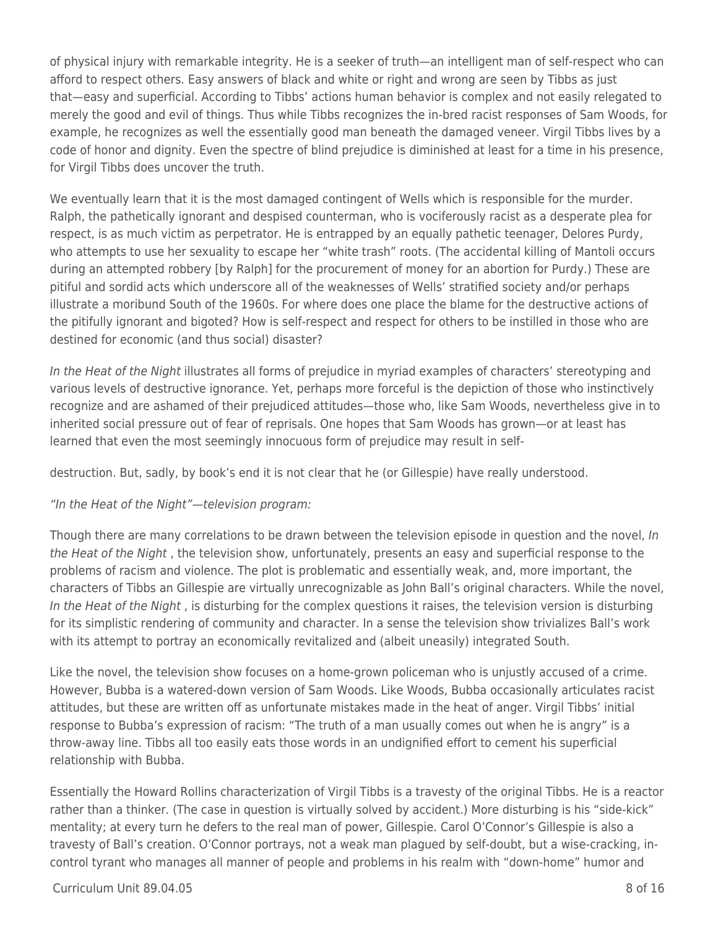of physical injury with remarkable integrity. He is a seeker of truth—an intelligent man of self-respect who can afford to respect others. Easy answers of black and white or right and wrong are seen by Tibbs as just that—easy and superficial. According to Tibbs' actions human behavior is complex and not easily relegated to merely the good and evil of things. Thus while Tibbs recognizes the in-bred racist responses of Sam Woods, for example, he recognizes as well the essentially good man beneath the damaged veneer. Virgil Tibbs lives by a code of honor and dignity. Even the spectre of blind prejudice is diminished at least for a time in his presence, for Virgil Tibbs does uncover the truth.

We eventually learn that it is the most damaged contingent of Wells which is responsible for the murder. Ralph, the pathetically ignorant and despised counterman, who is vociferously racist as a desperate plea for respect, is as much victim as perpetrator. He is entrapped by an equally pathetic teenager, Delores Purdy, who attempts to use her sexuality to escape her "white trash" roots. (The accidental killing of Mantoli occurs during an attempted robbery [by Ralph] for the procurement of money for an abortion for Purdy.) These are pitiful and sordid acts which underscore all of the weaknesses of Wells' stratified society and/or perhaps illustrate a moribund South of the 1960s. For where does one place the blame for the destructive actions of the pitifully ignorant and bigoted? How is self-respect and respect for others to be instilled in those who are destined for economic (and thus social) disaster?

In the Heat of the Night illustrates all forms of prejudice in myriad examples of characters' stereotyping and various levels of destructive ignorance. Yet, perhaps more forceful is the depiction of those who instinctively recognize and are ashamed of their prejudiced attitudes—those who, like Sam Woods, nevertheless give in to inherited social pressure out of fear of reprisals. One hopes that Sam Woods has grown—or at least has learned that even the most seemingly innocuous form of prejudice may result in self-

destruction. But, sadly, by book's end it is not clear that he (or Gillespie) have really understood.

#### "In the Heat of the Night"—television program:

Though there are many correlations to be drawn between the television episode in question and the novel, In the Heat of the Night, the television show, unfortunately, presents an easy and superficial response to the problems of racism and violence. The plot is problematic and essentially weak, and, more important, the characters of Tibbs an Gillespie are virtually unrecognizable as John Ball's original characters. While the novel, In the Heat of the Night, is disturbing for the complex questions it raises, the television version is disturbing for its simplistic rendering of community and character. In a sense the television show trivializes Ball's work with its attempt to portray an economically revitalized and (albeit uneasily) integrated South.

Like the novel, the television show focuses on a home-grown policeman who is unjustly accused of a crime. However, Bubba is a watered-down version of Sam Woods. Like Woods, Bubba occasionally articulates racist attitudes, but these are written off as unfortunate mistakes made in the heat of anger. Virgil Tibbs' initial response to Bubba's expression of racism: "The truth of a man usually comes out when he is angry" is a throw-away line. Tibbs all too easily eats those words in an undignified effort to cement his superficial relationship with Bubba.

Essentially the Howard Rollins characterization of Virgil Tibbs is a travesty of the original Tibbs. He is a reactor rather than a thinker. (The case in question is virtually solved by accident.) More disturbing is his "side-kick" mentality; at every turn he defers to the real man of power, Gillespie. Carol O'Connor's Gillespie is also a travesty of Ball's creation. O'Connor portrays, not a weak man plagued by self-doubt, but a wise-cracking, incontrol tyrant who manages all manner of people and problems in his realm with "down-home" humor and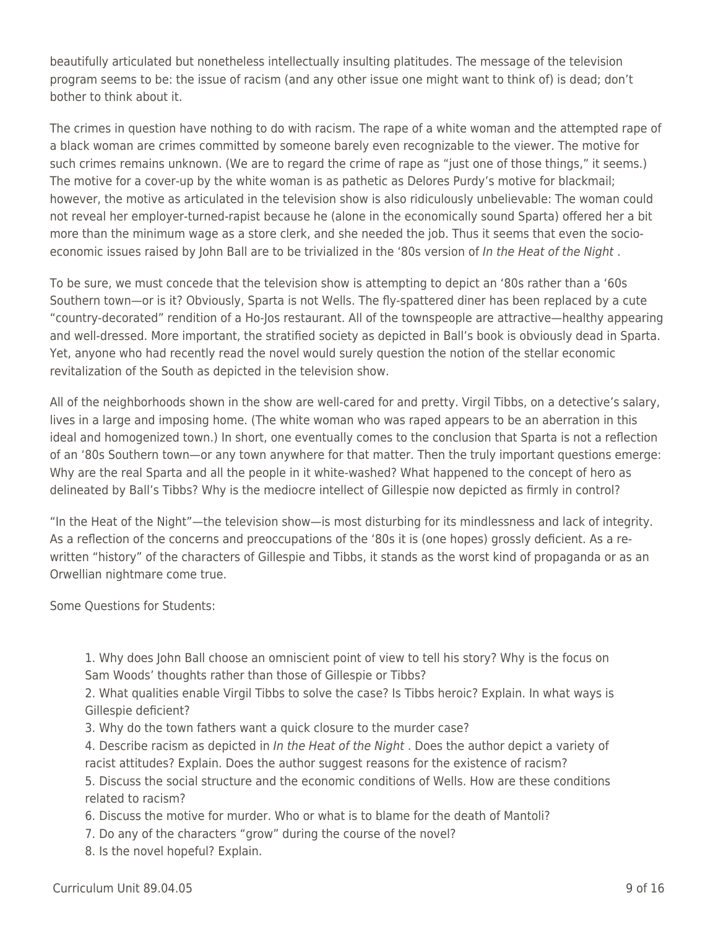beautifully articulated but nonetheless intellectually insulting platitudes. The message of the television program seems to be: the issue of racism (and any other issue one might want to think of) is dead; don't bother to think about it.

The crimes in question have nothing to do with racism. The rape of a white woman and the attempted rape of a black woman are crimes committed by someone barely even recognizable to the viewer. The motive for such crimes remains unknown. (We are to regard the crime of rape as "just one of those things," it seems.) The motive for a cover-up by the white woman is as pathetic as Delores Purdy's motive for blackmail; however, the motive as articulated in the television show is also ridiculously unbelievable: The woman could not reveal her employer-turned-rapist because he (alone in the economically sound Sparta) offered her a bit more than the minimum wage as a store clerk, and she needed the job. Thus it seems that even the socioeconomic issues raised by John Ball are to be trivialized in the '80s version of In the Heat of the Night.

To be sure, we must concede that the television show is attempting to depict an '80s rather than a '60s Southern town—or is it? Obviously, Sparta is not Wells. The fly-spattered diner has been replaced by a cute "country-decorated" rendition of a Ho-Jos restaurant. All of the townspeople are attractive—healthy appearing and well-dressed. More important, the stratified society as depicted in Ball's book is obviously dead in Sparta. Yet, anyone who had recently read the novel would surely question the notion of the stellar economic revitalization of the South as depicted in the television show.

All of the neighborhoods shown in the show are well-cared for and pretty. Virgil Tibbs, on a detective's salary, lives in a large and imposing home. (The white woman who was raped appears to be an aberration in this ideal and homogenized town.) In short, one eventually comes to the conclusion that Sparta is not a reflection of an '80s Southern town—or any town anywhere for that matter. Then the truly important questions emerge: Why are the real Sparta and all the people in it white-washed? What happened to the concept of hero as delineated by Ball's Tibbs? Why is the mediocre intellect of Gillespie now depicted as firmly in control?

"In the Heat of the Night"—the television show—is most disturbing for its mindlessness and lack of integrity. As a reflection of the concerns and preoccupations of the '80s it is (one hopes) grossly deficient. As a rewritten "history" of the characters of Gillespie and Tibbs, it stands as the worst kind of propaganda or as an Orwellian nightmare come true.

Some Questions for Students:

1. Why does John Ball choose an omniscient point of view to tell his story? Why is the focus on Sam Woods' thoughts rather than those of Gillespie or Tibbs?

2. What qualities enable Virgil Tibbs to solve the case? Is Tibbs heroic? Explain. In what ways is Gillespie deficient?

3. Why do the town fathers want a quick closure to the murder case?

4. Describe racism as depicted in In the Heat of the Night . Does the author depict a variety of racist attitudes? Explain. Does the author suggest reasons for the existence of racism?

5. Discuss the social structure and the economic conditions of Wells. How are these conditions related to racism?

6. Discuss the motive for murder. Who or what is to blame for the death of Mantoli?

7. Do any of the characters "grow" during the course of the novel?

8. Is the novel hopeful? Explain.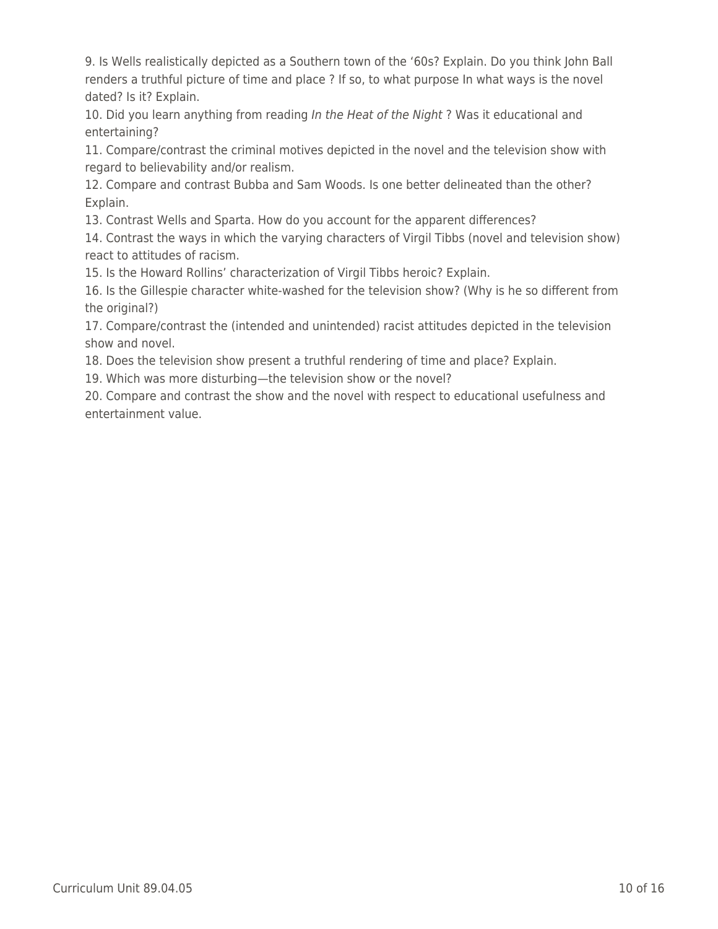9. Is Wells realistically depicted as a Southern town of the '60s? Explain. Do you think John Ball renders a truthful picture of time and place ? If so, to what purpose In what ways is the novel dated? Is it? Explain.

10. Did you learn anything from reading In the Heat of the Night? Was it educational and entertaining?

11. Compare/contrast the criminal motives depicted in the novel and the television show with regard to believability and/or realism.

12. Compare and contrast Bubba and Sam Woods. Is one better delineated than the other? Explain.

13. Contrast Wells and Sparta. How do you account for the apparent differences?

14. Contrast the ways in which the varying characters of Virgil Tibbs (novel and television show) react to attitudes of racism.

15. Is the Howard Rollins' characterization of Virgil Tibbs heroic? Explain.

16. Is the Gillespie character white-washed for the television show? (Why is he so different from the original?)

17. Compare/contrast the (intended and unintended) racist attitudes depicted in the television show and novel.

18. Does the television show present a truthful rendering of time and place? Explain.

19. Which was more disturbing—the television show or the novel?

20. Compare and contrast the show and the novel with respect to educational usefulness and entertainment value.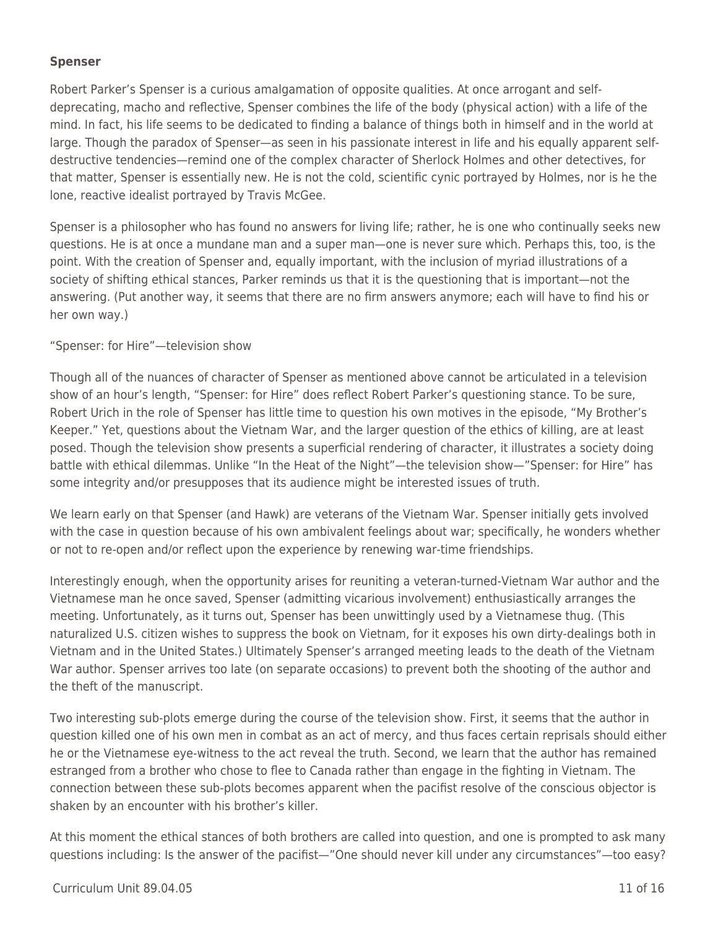#### **Spenser**

Robert Parker's Spenser is a curious amalgamation of opposite qualities. At once arrogant and selfdeprecating, macho and reflective, Spenser combines the life of the body (physical action) with a life of the mind. In fact, his life seems to be dedicated to finding a balance of things both in himself and in the world at large. Though the paradox of Spenser—as seen in his passionate interest in life and his equally apparent selfdestructive tendencies—remind one of the complex character of Sherlock Holmes and other detectives, for that matter, Spenser is essentially new. He is not the cold, scientific cynic portrayed by Holmes, nor is he the lone, reactive idealist portrayed by Travis McGee.

Spenser is a philosopher who has found no answers for living life; rather, he is one who continually seeks new questions. He is at once a mundane man and a super man—one is never sure which. Perhaps this, too, is the point. With the creation of Spenser and, equally important, with the inclusion of myriad illustrations of a society of shifting ethical stances, Parker reminds us that it is the questioning that is important—not the answering. (Put another way, it seems that there are no firm answers anymore; each will have to find his or her own way.)

#### "Spenser: for Hire"—television show

Though all of the nuances of character of Spenser as mentioned above cannot be articulated in a television show of an hour's length, "Spenser: for Hire" does reflect Robert Parker's questioning stance. To be sure, Robert Urich in the role of Spenser has little time to question his own motives in the episode, "My Brother's Keeper." Yet, questions about the Vietnam War, and the larger question of the ethics of killing, are at least posed. Though the television show presents a superficial rendering of character, it illustrates a society doing battle with ethical dilemmas. Unlike "In the Heat of the Night"—the television show—"Spenser: for Hire" has some integrity and/or presupposes that its audience might be interested issues of truth.

We learn early on that Spenser (and Hawk) are veterans of the Vietnam War. Spenser initially gets involved with the case in question because of his own ambivalent feelings about war; specifically, he wonders whether or not to re-open and/or reflect upon the experience by renewing war-time friendships.

Interestingly enough, when the opportunity arises for reuniting a veteran-turned-Vietnam War author and the Vietnamese man he once saved, Spenser (admitting vicarious involvement) enthusiastically arranges the meeting. Unfortunately, as it turns out, Spenser has been unwittingly used by a Vietnamese thug. (This naturalized U.S. citizen wishes to suppress the book on Vietnam, for it exposes his own dirty-dealings both in Vietnam and in the United States.) Ultimately Spenser's arranged meeting leads to the death of the Vietnam War author. Spenser arrives too late (on separate occasions) to prevent both the shooting of the author and the theft of the manuscript.

Two interesting sub-plots emerge during the course of the television show. First, it seems that the author in question killed one of his own men in combat as an act of mercy, and thus faces certain reprisals should either he or the Vietnamese eye-witness to the act reveal the truth. Second, we learn that the author has remained estranged from a brother who chose to flee to Canada rather than engage in the fighting in Vietnam. The connection between these sub-plots becomes apparent when the pacifist resolve of the conscious objector is shaken by an encounter with his brother's killer.

At this moment the ethical stances of both brothers are called into question, and one is prompted to ask many questions including: Is the answer of the pacifist—"One should never kill under any circumstances"—too easy?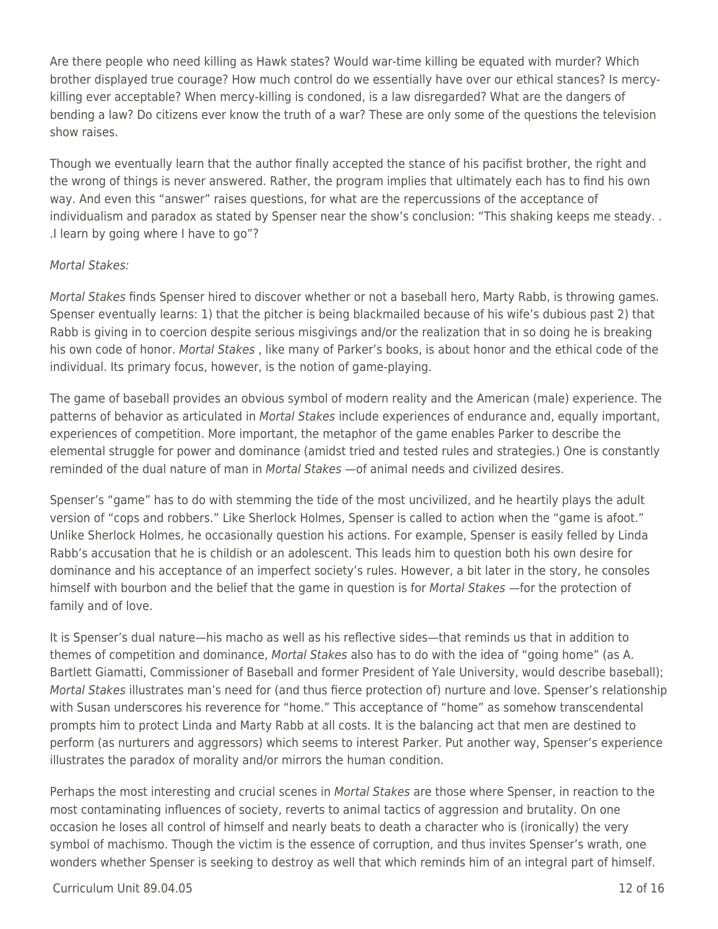Are there people who need killing as Hawk states? Would war-time killing be equated with murder? Which brother displayed true courage? How much control do we essentially have over our ethical stances? Is mercykilling ever acceptable? When mercy-killing is condoned, is a law disregarded? What are the dangers of bending a law? Do citizens ever know the truth of a war? These are only some of the questions the television show raises.

Though we eventually learn that the author finally accepted the stance of his pacifist brother, the right and the wrong of things is never answered. Rather, the program implies that ultimately each has to find his own way. And even this "answer" raises questions, for what are the repercussions of the acceptance of individualism and paradox as stated by Spenser near the show's conclusion: "This shaking keeps me steady. . .I learn by going where I have to go"?

#### Mortal Stakes:

Mortal Stakes finds Spenser hired to discover whether or not a baseball hero, Marty Rabb, is throwing games. Spenser eventually learns: 1) that the pitcher is being blackmailed because of his wife's dubious past 2) that Rabb is giving in to coercion despite serious misgivings and/or the realization that in so doing he is breaking his own code of honor. Mortal Stakes , like many of Parker's books, is about honor and the ethical code of the individual. Its primary focus, however, is the notion of game-playing.

The game of baseball provides an obvious symbol of modern reality and the American (male) experience. The patterns of behavior as articulated in Mortal Stakes include experiences of endurance and, equally important, experiences of competition. More important, the metaphor of the game enables Parker to describe the elemental struggle for power and dominance (amidst tried and tested rules and strategies.) One is constantly reminded of the dual nature of man in Mortal Stakes —of animal needs and civilized desires.

Spenser's "game" has to do with stemming the tide of the most uncivilized, and he heartily plays the adult version of "cops and robbers." Like Sherlock Holmes, Spenser is called to action when the "game is afoot." Unlike Sherlock Holmes, he occasionally question his actions. For example, Spenser is easily felled by Linda Rabb's accusation that he is childish or an adolescent. This leads him to question both his own desire for dominance and his acceptance of an imperfect society's rules. However, a bit later in the story, he consoles himself with bourbon and the belief that the game in question is for Mortal Stakes —for the protection of family and of love.

It is Spenser's dual nature—his macho as well as his reflective sides—that reminds us that in addition to themes of competition and dominance, Mortal Stakes also has to do with the idea of "going home" (as A. Bartlett Giamatti, Commissioner of Baseball and former President of Yale University, would describe baseball); Mortal Stakes illustrates man's need for (and thus fierce protection of) nurture and love. Spenser's relationship with Susan underscores his reverence for "home." This acceptance of "home" as somehow transcendental prompts him to protect Linda and Marty Rabb at all costs. It is the balancing act that men are destined to perform (as nurturers and aggressors) which seems to interest Parker. Put another way, Spenser's experience illustrates the paradox of morality and/or mirrors the human condition.

Perhaps the most interesting and crucial scenes in Mortal Stakes are those where Spenser, in reaction to the most contaminating influences of society, reverts to animal tactics of aggression and brutality. On one occasion he loses all control of himself and nearly beats to death a character who is (ironically) the very symbol of machismo. Though the victim is the essence of corruption, and thus invites Spenser's wrath, one wonders whether Spenser is seeking to destroy as well that which reminds him of an integral part of himself.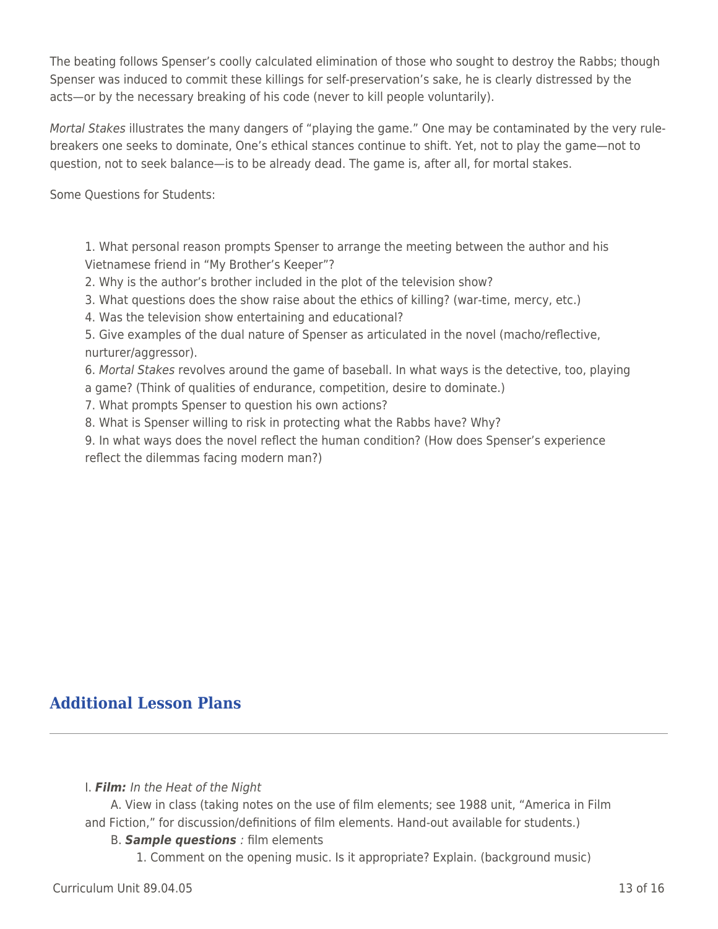The beating follows Spenser's coolly calculated elimination of those who sought to destroy the Rabbs; though Spenser was induced to commit these killings for self-preservation's sake, he is clearly distressed by the acts—or by the necessary breaking of his code (never to kill people voluntarily).

Mortal Stakes illustrates the many dangers of "playing the game." One may be contaminated by the very rulebreakers one seeks to dominate, One's ethical stances continue to shift. Yet, not to play the game—not to question, not to seek balance—is to be already dead. The game is, after all, for mortal stakes.

Some Questions for Students:

1. What personal reason prompts Spenser to arrange the meeting between the author and his Vietnamese friend in "My Brother's Keeper"?

2. Why is the author's brother included in the plot of the television show?

3. What questions does the show raise about the ethics of killing? (war-time, mercy, etc.)

4. Was the television show entertaining and educational?

5. Give examples of the dual nature of Spenser as articulated in the novel (macho/reflective, nurturer/aggressor).

6. Mortal Stakes revolves around the game of baseball. In what ways is the detective, too, playing a game? (Think of qualities of endurance, competition, desire to dominate.)

7. What prompts Spenser to question his own actions?

8. What is Spenser willing to risk in protecting what the Rabbs have? Why?

9. In what ways does the novel reflect the human condition? (How does Spenser's experience reflect the dilemmas facing modern man?)

## **Additional Lesson Plans**

#### I. *Film:* In the Heat of the Night

\_\_\_\_ A. View in class (taking notes on the use of film elements; see 1988 unit, "America in Film and Fiction," for discussion/definitions of film elements. Hand-out available for students.)

#### B. **Sample questions** : film elements

1. Comment on the opening music. Is it appropriate? Explain. (background music)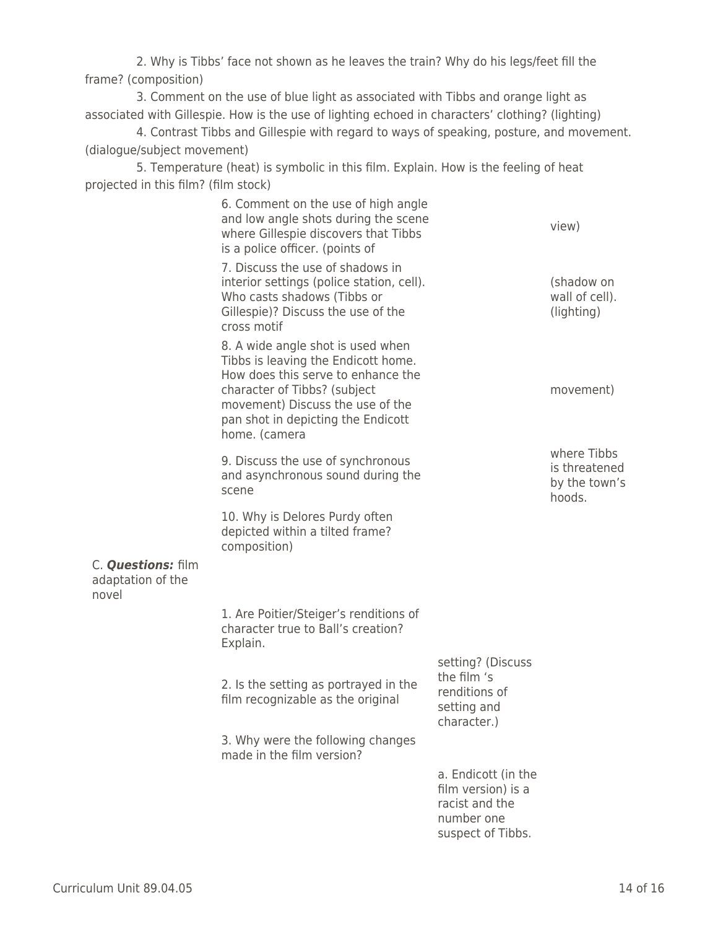2. Why is Tibbs' face not shown as he leaves the train? Why do his legs/feet fill the frame? (composition)

3. Comment on the use of blue light as associated with Tibbs and orange light as associated with Gillespie. How is the use of lighting echoed in characters' clothing? (lighting)

4. Contrast Tibbs and Gillespie with regard to ways of speaking, posture, and movement. (dialogue/subject movement)

5. Temperature (heat) is symbolic in this film. Explain. How is the feeling of heat projected in this film? (film stock)

|                                                  | 6. Comment on the use of high angle<br>and low angle shots during the scene<br>where Gillespie discovers that Tibbs<br>is a police officer. (points of                                                                                    |                                                                                                | view)                                                   |
|--------------------------------------------------|-------------------------------------------------------------------------------------------------------------------------------------------------------------------------------------------------------------------------------------------|------------------------------------------------------------------------------------------------|---------------------------------------------------------|
|                                                  | 7. Discuss the use of shadows in<br>interior settings (police station, cell).<br>Who casts shadows (Tibbs or<br>Gillespie)? Discuss the use of the<br>cross motif                                                                         |                                                                                                | (shadow on<br>wall of cell).<br>(lighting)              |
|                                                  | 8. A wide angle shot is used when<br>Tibbs is leaving the Endicott home.<br>How does this serve to enhance the<br>character of Tibbs? (subject<br>movement) Discuss the use of the<br>pan shot in depicting the Endicott<br>home. (camera |                                                                                                | movement)                                               |
|                                                  | 9. Discuss the use of synchronous<br>and asynchronous sound during the<br>scene                                                                                                                                                           |                                                                                                | where Tibbs<br>is threatened<br>by the town's<br>hoods. |
|                                                  | 10. Why is Delores Purdy often<br>depicted within a tilted frame?<br>composition)                                                                                                                                                         |                                                                                                |                                                         |
| C. Questions: film<br>adaptation of the<br>novel |                                                                                                                                                                                                                                           |                                                                                                |                                                         |
|                                                  | 1. Are Poitier/Steiger's renditions of<br>character true to Ball's creation?<br>Explain.                                                                                                                                                  |                                                                                                |                                                         |
|                                                  | 2. Is the setting as portrayed in the<br>film recognizable as the original                                                                                                                                                                | setting? (Discuss<br>the film 's<br>renditions of<br>setting and<br>character.)                |                                                         |
|                                                  | 3. Why were the following changes<br>made in the film version?                                                                                                                                                                            |                                                                                                |                                                         |
|                                                  |                                                                                                                                                                                                                                           | a. Endicott (in the<br>film version) is a<br>racist and the<br>number one<br>suspect of Tibbs. |                                                         |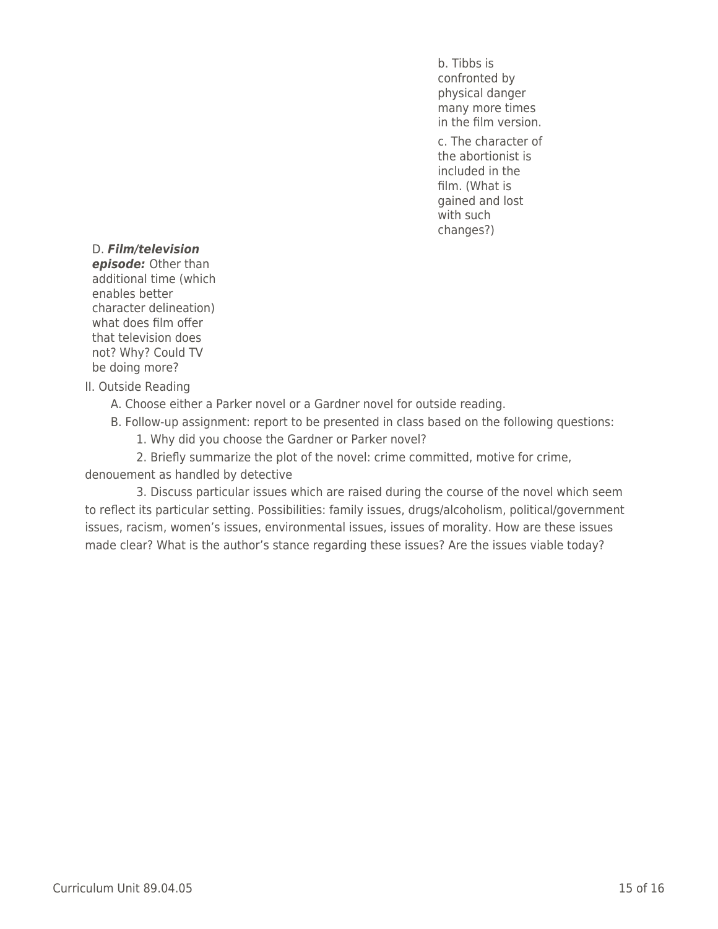b. Tibbs is confronted by physical danger many more times in the film version.

c. The character of the abortionist is included in the film. (What is gained and lost with such changes?)

#### D. *Film/television*

*episode:* Other than additional time (which enables better character delineation) what does film offer that television does not? Why? Could TV be doing more?

II. Outside Reading

A. Choose either a Parker novel or a Gardner novel for outside reading.

B. Follow-up assignment: report to be presented in class based on the following questions:

1. Why did you choose the Gardner or Parker novel?

2. Briefly summarize the plot of the novel: crime committed, motive for crime, denouement as handled by detective

3. Discuss particular issues which are raised during the course of the novel which seem to reflect its particular setting. Possibilities: family issues, drugs/alcoholism, political/government issues, racism, women's issues, environmental issues, issues of morality. How are these issues made clear? What is the author's stance regarding these issues? Are the issues viable today?